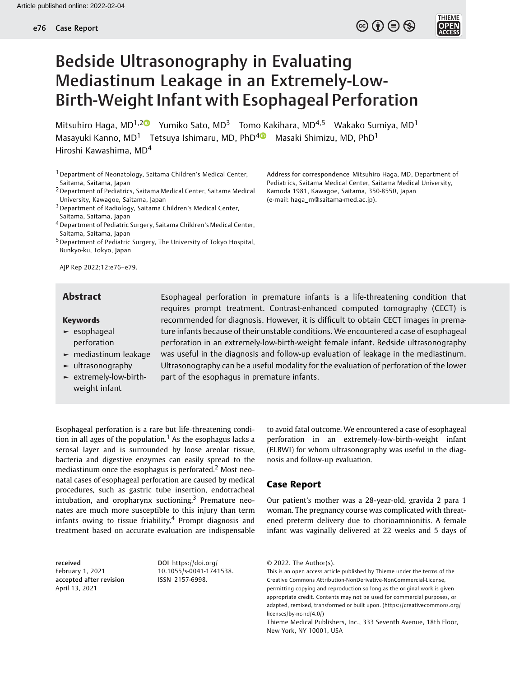$\circledcirc$  (i)  $\ominus$   $\circledcirc$ 



# Bedside Ultrasonography in Evaluating Mediastinum Leakage in an Extremely-Low-Birth-Weight Infant with Esophageal Perforation

Mitsuhiro Haga, MD<sup>1,2 V</sup>umiko Sato, MD<sup>3</sup> Tomo Kakihara, MD<sup>4,5</sup> Wakako Sumiya, MD<sup>1</sup> Masayuki Kanno, MD<sup>1</sup> Tetsuya Ishimaru, MD, PhD<sup>[4](https://orcid.org/0000-0002-2908-7416)</sup> Masaki Shimizu, MD, PhD<sup>1</sup> Hiroshi Kawashima, MD<sup>4</sup>

1Department of Neonatology, Saitama Children's Medical Center, Saitama, Saitama, Japan

2Department of Pediatrics, Saitama Medical Center, Saitama Medical University, Kawagoe, Saitama, Japan

<sup>3</sup> Department of Radiology, Saitama Children's Medical Center, Saitama, Saitama, Japan

4Department of Pediatric Surgery, Saitama Children's Medical Center, Saitama, Saitama, Japan

5Department of Pediatric Surgery, The University of Tokyo Hospital, Bunkyo-ku, Tokyo, Japan

AJP Rep 2022;12:e76–e79.

### Keywords

- ► esophageal perforation
- ► mediastinum leakage
- ► ultrasonography
- ► extremely-low-birthweight infant

Address for correspondence Mitsuhiro Haga, MD, Department of Pediatrics, Saitama Medical Center, Saitama Medical University, Kamoda 1981, Kawagoe, Saitama, 350-8550, Japan (e-mail: [haga\\_m@saitama-med.ac.jp](mailto:haga_m@saitama-med.ac.jp)).

Abstract Esophageal perforation in premature infants is a life-threatening condition that requires prompt treatment. Contrast-enhanced computed tomography (CECT) is recommended for diagnosis. However, it is difficult to obtain CECT images in premature infants because of their unstable conditions. We encountered a case of esophageal perforation in an extremely-low-birth-weight female infant. Bedside ultrasonography was useful in the diagnosis and follow-up evaluation of leakage in the mediastinum. Ultrasonography can be a useful modality for the evaluation of perforation of the lower part of the esophagus in premature infants.

Esophageal perforation is a rare but life-threatening condition in all ages of the population.<sup>1</sup> As the esophagus lacks a serosal layer and is surrounded by loose areolar tissue, bacteria and digestive enzymes can easily spread to the mediastinum once the esophagus is perforated.<sup>2</sup> Most neonatal cases of esophageal perforation are caused by medical procedures, such as gastric tube insertion, endotracheal intubation, and oropharynx suctioning.<sup>3</sup> Premature neonates are much more susceptible to this injury than term infants owing to tissue friability.<sup>4</sup> Prompt diagnosis and treatment based on accurate evaluation are indispensable

to avoid fatal outcome. We encountered a case of esophageal perforation in an extremely-low-birth-weight infant (ELBWI) for whom ultrasonography was useful in the diagnosis and follow-up evaluation.

# Case Report

Our patient's mother was a 28-year-old, gravida 2 para 1 woman. The pregnancy course was complicated with threatened preterm delivery due to chorioamnionitis. A female infant was vaginally delivered at 22 weeks and 5 days of

received February 1, 2021 accepted after revision April 13, 2021

DOI [https://doi.org/](https://doi.org/10.1055/s-0041-1741538) [10.1055/s-0041-1741538](https://doi.org/10.1055/s-0041-1741538). ISSN 2157-6998.

© 2022. The Author(s).

This is an open access article published by Thieme under the terms of the Creative Commons Attribution-NonDerivative-NonCommercial-License, permitting copying and reproduction so long as the original work is given appropriate credit. Contents may not be used for commercial purposes, or adapted, remixed, transformed or built upon. (https://creativecommons.org/ licenses/by-nc-nd/4.0/)

Thieme Medical Publishers, Inc., 333 Seventh Avenue, 18th Floor, New York, NY 10001, USA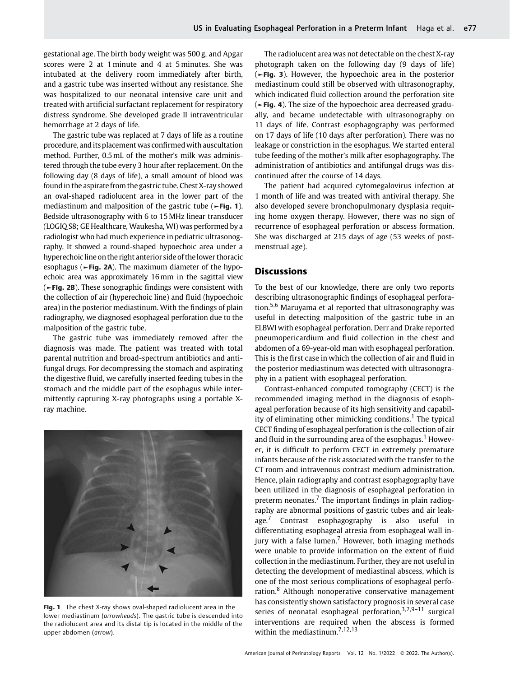gestational age. The birth body weight was 500 g, and Apgar scores were 2 at 1 minute and 4 at 5 minutes. She was intubated at the delivery room immediately after birth, and a gastric tube was inserted without any resistance. She was hospitalized to our neonatal intensive care unit and treated with artificial surfactant replacement for respiratory distress syndrome. She developed grade II intraventricular hemorrhage at 2 days of life.

The gastric tube was replaced at 7 days of life as a routine procedure, and its placement was confirmedwith auscultation method. Further, 0.5mL of the mother's milk was administered through the tube every 3 hour after replacement. On the following day (8 days of life), a small amount of blood was found in the aspirate from the gastric tube. Chest X-ray showed an oval-shaped radiolucent area in the lower part of the mediastinum and malposition of the gastric tube (►Fig. 1). Bedside ultrasonography with 6 to 15MHz linear transducer (LOGIQ S8; GE Healthcare, Waukesha, WI) was performed by a radiologist who had much experience in pediatric ultrasonography. It showed a round-shaped hypoechoic area under a hyperechoicline on the right anterior side of thelower thoracic esophagus (►Fig. 2A). The maximum diameter of the hypoechoic area was approximately 16 mm in the sagittal view (►Fig. 2B). These sonographic findings were consistent with the collection of air (hyperechoic line) and fluid (hypoechoic area) in the posterior mediastinum. With the findings of plain radiography, we diagnosed esophageal perforation due to the malposition of the gastric tube.

The gastric tube was immediately removed after the diagnosis was made. The patient was treated with total parental nutrition and broad-spectrum antibiotics and antifungal drugs. For decompressing the stomach and aspirating the digestive fluid, we carefully inserted feeding tubes in the stomach and the middle part of the esophagus while intermittently capturing X-ray photographs using a portable Xray machine.



Fig. 1 The chest X-ray shows oval-shaped radiolucent area in the lower mediastinum (arrowheads). The gastric tube is descended into the radiolucent area and its distal tip is located in the middle of the upper abdomen (arrow).

The radiolucent area was not detectable on the chest X-ray photograph taken on the following day (9 days of life) (►Fig. 3). However, the hypoechoic area in the posterior mediastinum could still be observed with ultrasonography, which indicated fluid collection around the perforation site (►Fig. 4). The size of the hypoechoic area decreased gradually, and became undetectable with ultrasonography on 11 days of life. Contrast esophagography was performed on 17 days of life (10 days after perforation). There was no leakage or constriction in the esophagus. We started enteral tube feeding of the mother's milk after esophagography. The administration of antibiotics and antifungal drugs was discontinued after the course of 14 days.

The patient had acquired cytomegalovirus infection at 1 month of life and was treated with antiviral therapy. She also developed severe bronchopulmonary dysplasia requiring home oxygen therapy. However, there was no sign of recurrence of esophageal perforation or abscess formation. She was discharged at 215 days of age (53 weeks of postmenstrual age).

# **Discussions**

To the best of our knowledge, there are only two reports describing ultrasonographic findings of esophageal perforation.5,6 Maruyama et al reported that ultrasonography was useful in detecting malposition of the gastric tube in an ELBWI with esophageal perforation. Derr and Drake reported pneumopericardium and fluid collection in the chest and abdomen of a 69-year-old man with esophageal perforation. This is the first case in which the collection of air and fluid in the posterior mediastinum was detected with ultrasonography in a patient with esophageal perforation.

Contrast-enhanced computed tomography (CECT) is the recommended imaging method in the diagnosis of esophageal perforation because of its high sensitivity and capability of eliminating other mimicking conditions.<sup>1</sup> The typical CECT finding of esophageal perforation is the collection of air and fluid in the surrounding area of the esophagus.<sup>1</sup> However, it is difficult to perform CECT in extremely premature infants because of the risk associated with the transfer to the CT room and intravenous contrast medium administration. Hence, plain radiography and contrast esophagography have been utilized in the diagnosis of esophageal perforation in preterm neonates.<sup>7</sup> The important findings in plain radiography are abnormal positions of gastric tubes and air leakage.<sup>7</sup> Contrast esophagography is also useful in differentiating esophageal atresia from esophageal wall injury with a false lumen.<sup>7</sup> However, both imaging methods were unable to provide information on the extent of fluid collection in the mediastinum. Further, they are not useful in detecting the development of mediastinal abscess, which is one of the most serious complications of esophageal perforation.<sup>8</sup> Although nonoperative conservative management has consistently shown satisfactory prognosis in several case series of neonatal esophageal perforation,  $3,7,9-11$  surgical interventions are required when the abscess is formed within the mediastinum.<sup>7,12,13</sup>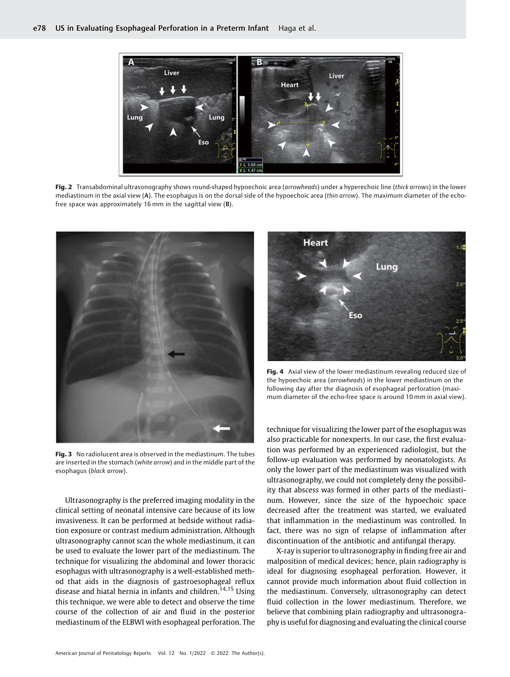

Fig. 2 Transabdominal ultrasonography shows round-shaped hypoechoic area (arrowheads) under a hyperechoic line (thick arrows) in the lower mediastinum in the axial view (A). The esophagus is on the dorsal side of the hypoechoic area (thin arrow). The maximum diameter of the echofree space was approximately 16 mm in the sagittal view (B).



**Fig. 3** No radiolucent area is observed in the mediastinum. The tubes are inserted in the stomach (white arrow) and in the middle part of the esophagus (black arrow).

Ultrasonography is the preferred imaging modality in the clinical setting of neonatal intensive care because of its low invasiveness. It can be performed at bedside without radiation exposure or contrast medium administration. Although ultrasonography cannot scan the whole mediastinum, it can be used to evaluate the lower part of the mediastinum. The technique for visualizing the abdominal and lower thoracic esophagus with ultrasonography is a well-established method that aids in the diagnosis of gastroesophageal reflux disease and hiatal hernia in infants and children.<sup>14,15</sup> Using this technique, we were able to detect and observe the time course of the collection of air and fluid in the posterior mediastinum of the ELBWI with esophageal perforation. The



Fig. 4 Axial view of the lower mediastinum revealing reduced size of the hypoechoic area (arrowheads) in the lower mediastinum on the following day after the diagnosis of esophageal perforation (maximum diameter of the echo-free space is around 10 mm in axial view).

technique for visualizing the lower part of the esophagus was also practicable for nonexperts. In our case, the first evaluation was performed by an experienced radiologist, but the follow-up evaluation was performed by neonatologists. As only the lower part of the mediastinum was visualized with ultrasonography, we could not completely deny the possibility that abscess was formed in other parts of the mediastinum. However, since the size of the hypoechoic space decreased after the treatment was started, we evaluated that inflammation in the mediastinum was controlled. In fact, there was no sign of relapse of inflammation after discontinuation of the antibiotic and antifungal therapy.

X-ray is superior to ultrasonography in finding free air and malposition of medical devices; hence, plain radiography is ideal for diagnosing esophageal perforation. However, it cannot provide much information about fluid collection in the mediastinum. Conversely, ultrasonography can detect fluid collection in the lower mediastinum. Therefore, we believe that combining plain radiography and ultrasonography is useful for diagnosing and evaluating the clinical course